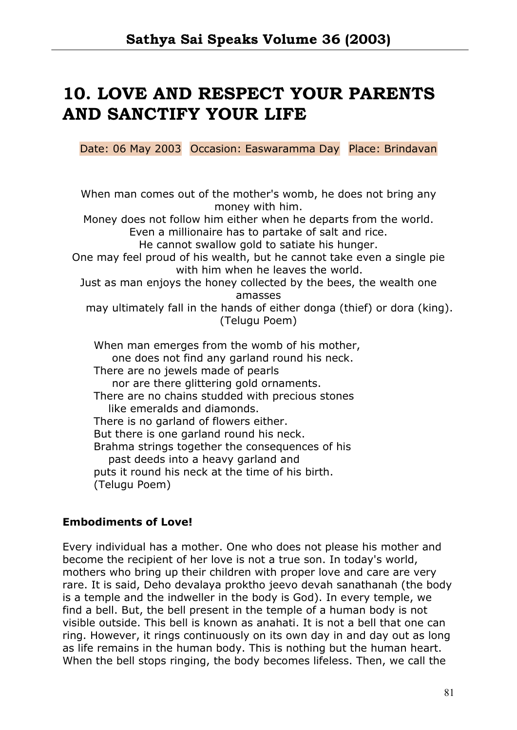# **10. LOVE AND RESPECT YOUR PARENTS AND SANCTIFY YOUR LIFE**

Date: 06 May 2003 Occasion: Easwaramma Day Place: Brindavan

When man comes out of the mother's womb, he does not bring any money with him. Money does not follow him either when he departs from the world. Even a millionaire has to partake of salt and rice. He cannot swallow gold to satiate his hunger. One may feel proud of his wealth, but he cannot take even a single pie with him when he leaves the world. Just as man enjoys the honey collected by the bees, the wealth one amasses may ultimately fall in the hands of either donga (thief) or dora (king). (Telugu Poem) When man emerges from the womb of his mother, one does not find any garland round his neck. There are no jewels made of pearls nor are there glittering gold ornaments. There are no chains studded with precious stones like emeralds and diamonds. There is no garland of flowers either. But there is one garland round his neck. Brahma strings together the consequences of his past deeds into a heavy garland and puts it round his neck at the time of his birth.

(Telugu Poem)

## **Embodiments of Love!**

Every individual has a mother. One who does not please his mother and become the recipient of her love is not a true son. In today's world, mothers who bring up their children with proper love and care are very rare. It is said, Deho devalaya proktho jeevo devah sanathanah (the body is a temple and the indweller in the body is God). In every temple, we find a bell. But, the bell present in the temple of a human body is not visible outside. This bell is known as anahati. It is not a bell that one can ring. However, it rings continuously on its own day in and day out as long as life remains in the human body. This is nothing but the human heart. When the bell stops ringing, the body becomes lifeless. Then, we call the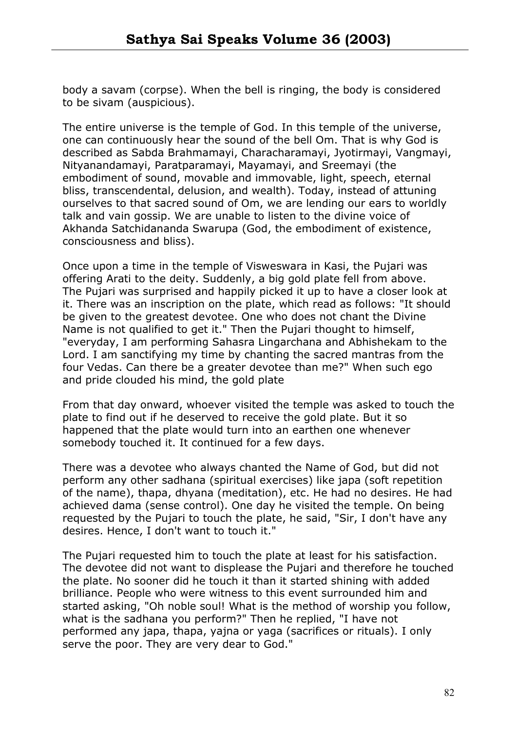body a savam (corpse). When the bell is ringing, the body is considered to be sivam (auspicious).

The entire universe is the temple of God. In this temple of the universe, one can continuously hear the sound of the bell Om. That is why God is described as Sabda Brahmamayi, Characharamayi, Jyotirmayi, Vangmayi, Nityanandamayi, Paratparamayi, Mayamayi, and Sreemayi (the embodiment of sound, movable and immovable, light, speech, eternal bliss, transcendental, delusion, and wealth). Today, instead of attuning ourselves to that sacred sound of Om, we are lending our ears to worldly talk and vain gossip. We are unable to listen to the divine voice of Akhanda Satchidananda Swarupa (God, the embodiment of existence, consciousness and bliss).

Once upon a time in the temple of Visweswara in Kasi, the Pujari was offering Arati to the deity. Suddenly, a big gold plate fell from above. The Pujari was surprised and happily picked it up to have a closer look at it. There was an inscription on the plate, which read as follows: "It should be given to the greatest devotee. One who does not chant the Divine Name is not qualified to get it." Then the Pujari thought to himself, "everyday, I am performing Sahasra Lingarchana and Abhishekam to the Lord. I am sanctifying my time by chanting the sacred mantras from the four Vedas. Can there be a greater devotee than me?" When such ego and pride clouded his mind, the gold plate

From that day onward, whoever visited the temple was asked to touch the plate to find out if he deserved to receive the gold plate. But it so happened that the plate would turn into an earthen one whenever somebody touched it. It continued for a few days.

There was a devotee who always chanted the Name of God, but did not perform any other sadhana (spiritual exercises) like japa (soft repetition of the name), thapa, dhyana (meditation), etc. He had no desires. He had achieved dama (sense control). One day he visited the temple. On being requested by the Pujari to touch the plate, he said, "Sir, I don't have any desires. Hence, I don't want to touch it."

The Pujari requested him to touch the plate at least for his satisfaction. The devotee did not want to displease the Pujari and therefore he touched the plate. No sooner did he touch it than it started shining with added brilliance. People who were witness to this event surrounded him and started asking, "Oh noble soul! What is the method of worship you follow, what is the sadhana you perform?" Then he replied, "I have not performed any japa, thapa, yajna or yaga (sacrifices or rituals). I only serve the poor. They are very dear to God."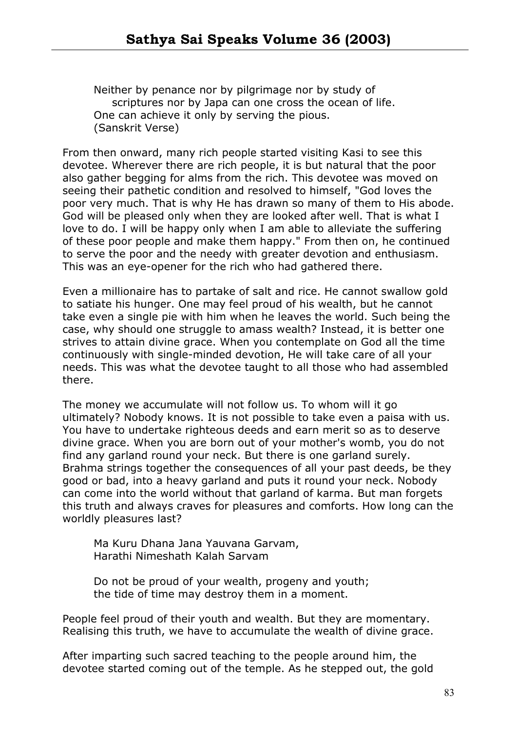Neither by penance nor by pilgrimage nor by study of scriptures nor by Japa can one cross the ocean of life. One can achieve it only by serving the pious. (Sanskrit Verse)

From then onward, many rich people started visiting Kasi to see this devotee. Wherever there are rich people, it is but natural that the poor also gather begging for alms from the rich. This devotee was moved on seeing their pathetic condition and resolved to himself, "God loves the poor very much. That is why He has drawn so many of them to His abode. God will be pleased only when they are looked after well. That is what I love to do. I will be happy only when I am able to alleviate the suffering of these poor people and make them happy." From then on, he continued to serve the poor and the needy with greater devotion and enthusiasm. This was an eye-opener for the rich who had gathered there.

Even a millionaire has to partake of salt and rice. He cannot swallow gold to satiate his hunger. One may feel proud of his wealth, but he cannot take even a single pie with him when he leaves the world. Such being the case, why should one struggle to amass wealth? Instead, it is better one strives to attain divine grace. When you contemplate on God all the time continuously with single-minded devotion, He will take care of all your needs. This was what the devotee taught to all those who had assembled there.

The money we accumulate will not follow us. To whom will it go ultimately? Nobody knows. It is not possible to take even a paisa with us. You have to undertake righteous deeds and earn merit so as to deserve divine grace. When you are born out of your mother's womb, you do not find any garland round your neck. But there is one garland surely. Brahma strings together the consequences of all your past deeds, be they good or bad, into a heavy garland and puts it round your neck. Nobody can come into the world without that garland of karma. But man forgets this truth and always craves for pleasures and comforts. How long can the worldly pleasures last?

Ma Kuru Dhana Jana Yauvana Garvam, Harathi Nimeshath Kalah Sarvam

Do not be proud of your wealth, progeny and youth; the tide of time may destroy them in a moment.

People feel proud of their youth and wealth. But they are momentary. Realising this truth, we have to accumulate the wealth of divine grace.

After imparting such sacred teaching to the people around him, the devotee started coming out of the temple. As he stepped out, the gold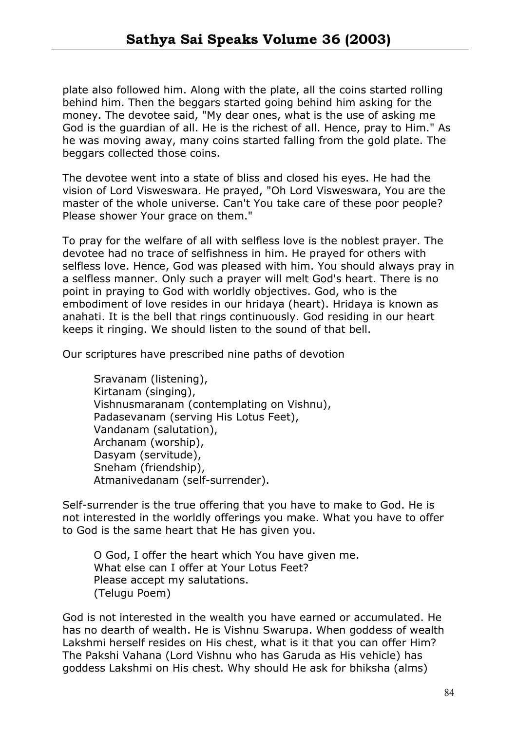plate also followed him. Along with the plate, all the coins started rolling behind him. Then the beggars started going behind him asking for the money. The devotee said, "My dear ones, what is the use of asking me God is the guardian of all. He is the richest of all. Hence, pray to Him." As he was moving away, many coins started falling from the gold plate. The beggars collected those coins.

The devotee went into a state of bliss and closed his eyes. He had the vision of Lord Visweswara. He prayed, "Oh Lord Visweswara, You are the master of the whole universe. Can't You take care of these poor people? Please shower Your grace on them."

To pray for the welfare of all with selfless love is the noblest prayer. The devotee had no trace of selfishness in him. He prayed for others with selfless love. Hence, God was pleased with him. You should always pray in a selfless manner. Only such a prayer will melt God's heart. There is no point in praying to God with worldly objectives. God, who is the embodiment of love resides in our hridaya (heart). Hridaya is known as anahati. It is the bell that rings continuously. God residing in our heart keeps it ringing. We should listen to the sound of that bell.

Our scriptures have prescribed nine paths of devotion

Sravanam (listening), Kirtanam (singing), Vishnusmaranam (contemplating on Vishnu), Padasevanam (serving His Lotus Feet), Vandanam (salutation), Archanam (worship), Dasyam (servitude), Sneham (friendship), Atmanivedanam (self-surrender).

Self-surrender is the true offering that you have to make to God. He is not interested in the worldly offerings you make. What you have to offer to God is the same heart that He has given you.

O God, I offer the heart which You have given me. What else can I offer at Your Lotus Feet? Please accept my salutations. (Telugu Poem)

God is not interested in the wealth you have earned or accumulated. He has no dearth of wealth. He is Vishnu Swarupa. When goddess of wealth Lakshmi herself resides on His chest, what is it that you can offer Him? The Pakshi Vahana (Lord Vishnu who has Garuda as His vehicle) has goddess Lakshmi on His chest. Why should He ask for bhiksha (alms)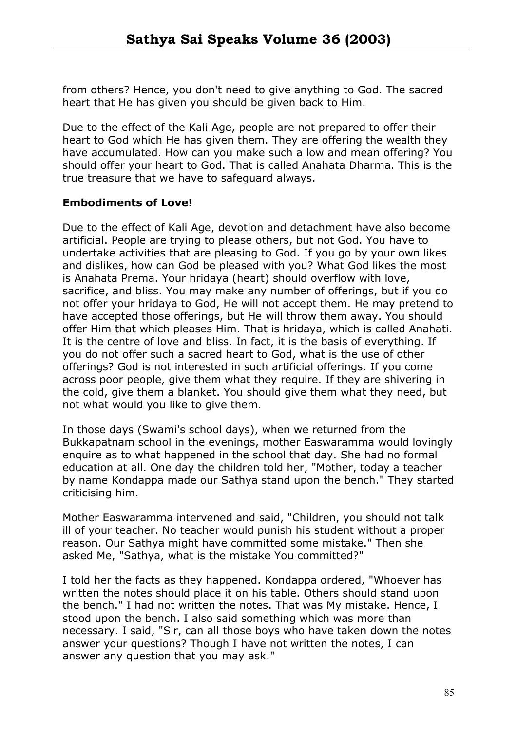from others? Hence, you don't need to give anything to God. The sacred heart that He has given you should be given back to Him.

Due to the effect of the Kali Age, people are not prepared to offer their heart to God which He has given them. They are offering the wealth they have accumulated. How can you make such a low and mean offering? You should offer your heart to God. That is called Anahata Dharma. This is the true treasure that we have to safeguard always.

# **Embodiments of Love!**

Due to the effect of Kali Age, devotion and detachment have also become artificial. People are trying to please others, but not God. You have to undertake activities that are pleasing to God. If you go by your own likes and dislikes, how can God be pleased with you? What God likes the most is Anahata Prema. Your hridaya (heart) should overflow with love, sacrifice, and bliss. You may make any number of offerings, but if you do not offer your hridaya to God, He will not accept them. He may pretend to have accepted those offerings, but He will throw them away. You should offer Him that which pleases Him. That is hridaya, which is called Anahati. It is the centre of love and bliss. In fact, it is the basis of everything. If you do not offer such a sacred heart to God, what is the use of other offerings? God is not interested in such artificial offerings. If you come across poor people, give them what they require. If they are shivering in the cold, give them a blanket. You should give them what they need, but not what would you like to give them.

In those days (Swami's school days), when we returned from the Bukkapatnam school in the evenings, mother Easwaramma would lovingly enquire as to what happened in the school that day. She had no formal education at all. One day the children told her, "Mother, today a teacher by name Kondappa made our Sathya stand upon the bench." They started criticising him.

Mother Easwaramma intervened and said, "Children, you should not talk ill of your teacher. No teacher would punish his student without a proper reason. Our Sathya might have committed some mistake." Then she asked Me, "Sathya, what is the mistake You committed?"

I told her the facts as they happened. Kondappa ordered, "Whoever has written the notes should place it on his table. Others should stand upon the bench." I had not written the notes. That was My mistake. Hence, I stood upon the bench. I also said something which was more than necessary. I said, "Sir, can all those boys who have taken down the notes answer your questions? Though I have not written the notes, I can answer any question that you may ask."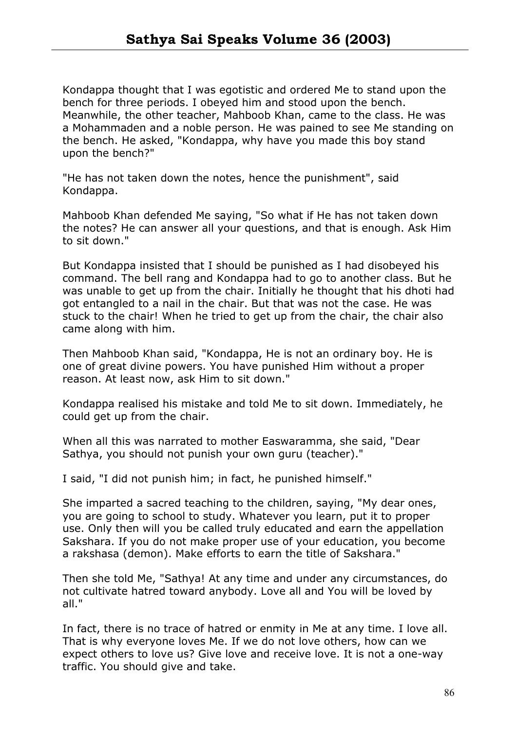Kondappa thought that I was egotistic and ordered Me to stand upon the bench for three periods. I obeyed him and stood upon the bench. Meanwhile, the other teacher, Mahboob Khan, came to the class. He was a Mohammaden and a noble person. He was pained to see Me standing on the bench. He asked, "Kondappa, why have you made this boy stand upon the bench?"

"He has not taken down the notes, hence the punishment", said Kondappa.

Mahboob Khan defended Me saying, "So what if He has not taken down the notes? He can answer all your questions, and that is enough. Ask Him to sit down."

But Kondappa insisted that I should be punished as I had disobeyed his command. The bell rang and Kondappa had to go to another class. But he was unable to get up from the chair. Initially he thought that his dhoti had got entangled to a nail in the chair. But that was not the case. He was stuck to the chair! When he tried to get up from the chair, the chair also came along with him.

Then Mahboob Khan said, "Kondappa, He is not an ordinary boy. He is one of great divine powers. You have punished Him without a proper reason. At least now, ask Him to sit down."

Kondappa realised his mistake and told Me to sit down. Immediately, he could get up from the chair.

When all this was narrated to mother Easwaramma, she said, "Dear Sathya, you should not punish your own guru (teacher)."

I said, "I did not punish him; in fact, he punished himself."

She imparted a sacred teaching to the children, saying, "My dear ones, you are going to school to study. Whatever you learn, put it to proper use. Only then will you be called truly educated and earn the appellation Sakshara. If you do not make proper use of your education, you become a rakshasa (demon). Make efforts to earn the title of Sakshara."

Then she told Me, "Sathya! At any time and under any circumstances, do not cultivate hatred toward anybody. Love all and You will be loved by all."

In fact, there is no trace of hatred or enmity in Me at any time. I love all. That is why everyone loves Me. If we do not love others, how can we expect others to love us? Give love and receive love. It is not a one-way traffic. You should give and take.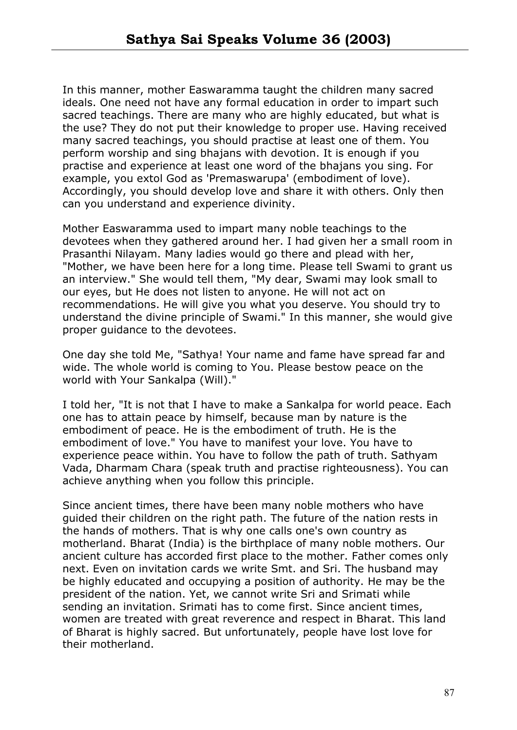In this manner, mother Easwaramma taught the children many sacred ideals. One need not have any formal education in order to impart such sacred teachings. There are many who are highly educated, but what is the use? They do not put their knowledge to proper use. Having received many sacred teachings, you should practise at least one of them. You perform worship and sing bhajans with devotion. It is enough if you practise and experience at least one word of the bhajans you sing. For example, you extol God as 'Premaswarupa' (embodiment of love). Accordingly, you should develop love and share it with others. Only then can you understand and experience divinity.

Mother Easwaramma used to impart many noble teachings to the devotees when they gathered around her. I had given her a small room in Prasanthi Nilayam. Many ladies would go there and plead with her, "Mother, we have been here for a long time. Please tell Swami to grant us an interview." She would tell them, "My dear, Swami may look small to our eyes, but He does not listen to anyone. He will not act on recommendations. He will give you what you deserve. You should try to understand the divine principle of Swami." In this manner, she would give proper guidance to the devotees.

One day she told Me, "Sathya! Your name and fame have spread far and wide. The whole world is coming to You. Please bestow peace on the world with Your Sankalpa (Will)."

I told her, "It is not that I have to make a Sankalpa for world peace. Each one has to attain peace by himself, because man by nature is the embodiment of peace. He is the embodiment of truth. He is the embodiment of love." You have to manifest your love. You have to experience peace within. You have to follow the path of truth. Sathyam Vada, Dharmam Chara (speak truth and practise righteousness). You can achieve anything when you follow this principle.

Since ancient times, there have been many noble mothers who have guided their children on the right path. The future of the nation rests in the hands of mothers. That is why one calls one's own country as motherland. Bharat (India) is the birthplace of many noble mothers. Our ancient culture has accorded first place to the mother. Father comes only next. Even on invitation cards we write Smt. and Sri. The husband may be highly educated and occupying a position of authority. He may be the president of the nation. Yet, we cannot write Sri and Srimati while sending an invitation. Srimati has to come first. Since ancient times, women are treated with great reverence and respect in Bharat. This land of Bharat is highly sacred. But unfortunately, people have lost love for their motherland.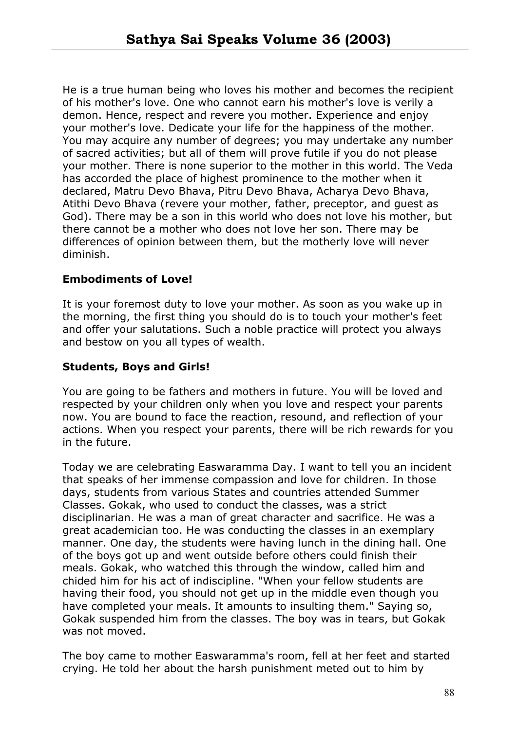He is a true human being who loves his mother and becomes the recipient of his mother's love. One who cannot earn his mother's love is verily a demon. Hence, respect and revere you mother. Experience and enjoy your mother's love. Dedicate your life for the happiness of the mother. You may acquire any number of degrees; you may undertake any number of sacred activities; but all of them will prove futile if you do not please your mother. There is none superior to the mother in this world. The Veda has accorded the place of highest prominence to the mother when it declared, Matru Devo Bhava, Pitru Devo Bhava, Acharya Devo Bhava, Atithi Devo Bhava (revere your mother, father, preceptor, and guest as God). There may be a son in this world who does not love his mother, but there cannot be a mother who does not love her son. There may be differences of opinion between them, but the motherly love will never diminish.

# **Embodiments of Love!**

It is your foremost duty to love your mother. As soon as you wake up in the morning, the first thing you should do is to touch your mother's feet and offer your salutations. Such a noble practice will protect you always and bestow on you all types of wealth.

# **Students, Boys and Girls!**

You are going to be fathers and mothers in future. You will be loved and respected by your children only when you love and respect your parents now. You are bound to face the reaction, resound, and reflection of your actions. When you respect your parents, there will be rich rewards for you in the future.

Today we are celebrating Easwaramma Day. I want to tell you an incident that speaks of her immense compassion and love for children. In those days, students from various States and countries attended Summer Classes. Gokak, who used to conduct the classes, was a strict disciplinarian. He was a man of great character and sacrifice. He was a great academician too. He was conducting the classes in an exemplary manner. One day, the students were having lunch in the dining hall. One of the boys got up and went outside before others could finish their meals. Gokak, who watched this through the window, called him and chided him for his act of indiscipline. "When your fellow students are having their food, you should not get up in the middle even though you have completed your meals. It amounts to insulting them." Saying so, Gokak suspended him from the classes. The boy was in tears, but Gokak was not moved.

The boy came to mother Easwaramma's room, fell at her feet and started crying. He told her about the harsh punishment meted out to him by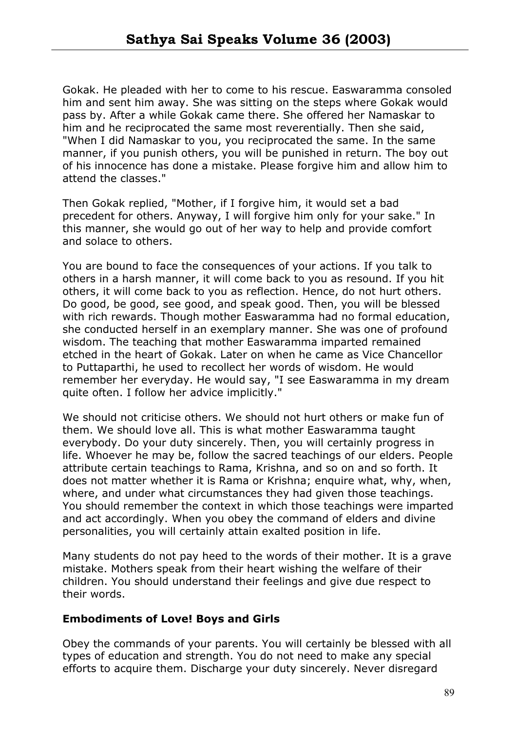Gokak. He pleaded with her to come to his rescue. Easwaramma consoled him and sent him away. She was sitting on the steps where Gokak would pass by. After a while Gokak came there. She offered her Namaskar to him and he reciprocated the same most reverentially. Then she said, "When I did Namaskar to you, you reciprocated the same. In the same manner, if you punish others, you will be punished in return. The boy out of his innocence has done a mistake. Please forgive him and allow him to attend the classes."

Then Gokak replied, "Mother, if I forgive him, it would set a bad precedent for others. Anyway, I will forgive him only for your sake." In this manner, she would go out of her way to help and provide comfort and solace to others.

You are bound to face the consequences of your actions. If you talk to others in a harsh manner, it will come back to you as resound. If you hit others, it will come back to you as reflection. Hence, do not hurt others. Do good, be good, see good, and speak good. Then, you will be blessed with rich rewards. Though mother Easwaramma had no formal education, she conducted herself in an exemplary manner. She was one of profound wisdom. The teaching that mother Easwaramma imparted remained etched in the heart of Gokak. Later on when he came as Vice Chancellor to Puttaparthi, he used to recollect her words of wisdom. He would remember her everyday. He would say, "I see Easwaramma in my dream quite often. I follow her advice implicitly."

We should not criticise others. We should not hurt others or make fun of them. We should love all. This is what mother Easwaramma taught everybody. Do your duty sincerely. Then, you will certainly progress in life. Whoever he may be, follow the sacred teachings of our elders. People attribute certain teachings to Rama, Krishna, and so on and so forth. It does not matter whether it is Rama or Krishna; enquire what, why, when, where, and under what circumstances they had given those teachings. You should remember the context in which those teachings were imparted and act accordingly. When you obey the command of elders and divine personalities, you will certainly attain exalted position in life.

Many students do not pay heed to the words of their mother. It is a grave mistake. Mothers speak from their heart wishing the welfare of their children. You should understand their feelings and give due respect to their words.

#### **Embodiments of Love! Boys and Girls**

Obey the commands of your parents. You will certainly be blessed with all types of education and strength. You do not need to make any special efforts to acquire them. Discharge your duty sincerely. Never disregard